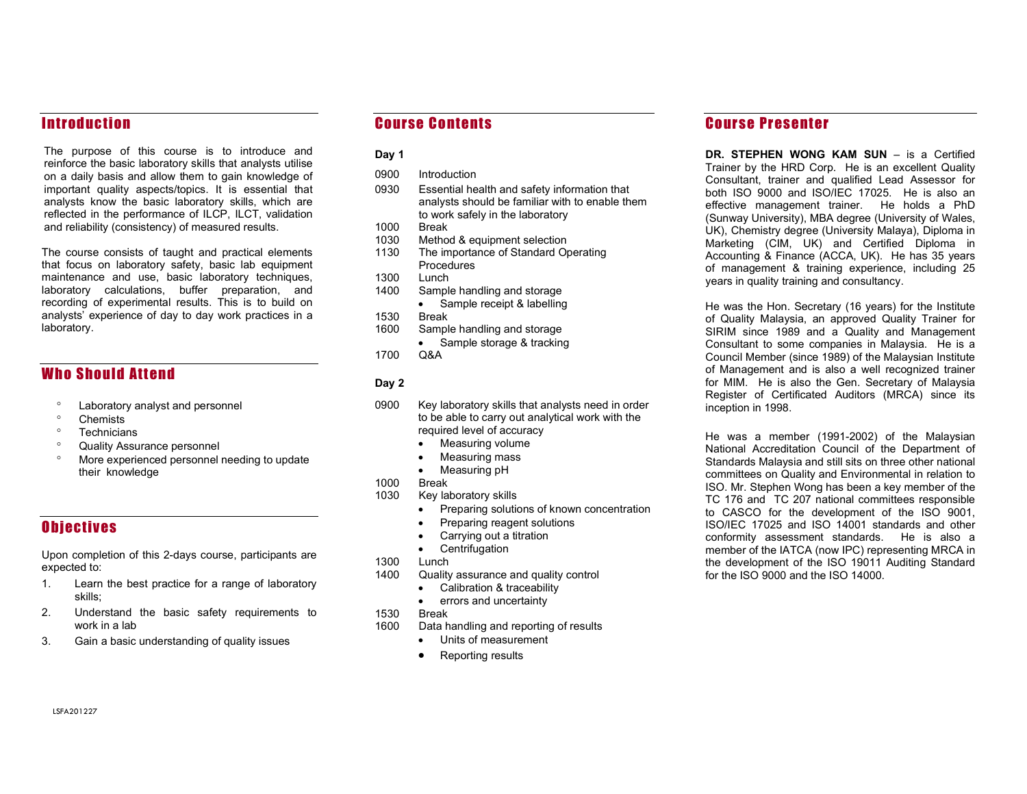# **Introduction**

The purpose of this course is to introduce and reinforce the basic laboratory skills that analysts utilise on a daily basis and allow them to gain knowledge of important quality aspects/topics. It is essential that analysts know the basic laboratory skills, which are reflected in the performance of ILCP, ILCT, validation and reliability (consistency) of measured results.

The course consists of taught and practical elements that focus on laboratory safety, basic lab equipment maintenance and use, basic laboratory techniques, laboratory calculations, buffer preparation, and recording of experimental results. This is to build on analysts' experience of day to day work practices in a laboratory.

# **Who Should Attend**

- Laboratory analyst and personnel
- <sup>o</sup> Chemists
- <sup>o</sup> Technicians
- Quality Assurance personnel
- More experienced personnel needing to update their knowledge

## **Objectives**

Upon completion of this 2-days course, participants are expected to:

- 1. Learn the best practice for a range of laboratory skills;
- 2. Understand the basic safety requirements to work in a lab
- 3. Gain a basic understanding of quality issues

## Course Contents

### Day 1

- 0900 Introduction
- 0930 Essential health and safety information that analysts should be familiar with to enable them to work safely in the laboratory
- 1000 Break
- 1030 Method & equipment selection
- 1130 The importance of Standard Operating **Procedures**
- 1300 Lunch
- 1400 Sample handling and storage
	- Sample receipt & labelling
- 1530 Break
- 1600 Sample handling and storage
	- Sample storage & tracking
- 1700 Q&A

#### Day 2

- 0900 Key laboratory skills that analysts need in order to be able to carry out analytical work with the required level of accuracy
	- Measuring volume
	- Measuring mass
	- Measuring pH
- 1000 Break
- 1030 Key laboratory skills
	- Preparing solutions of known concentration
	- Preparing reagent solutions
	- Carrying out a titration
	- Centrifugation
- 1300 Lunch
- 1400 Quality assurance and quality control
	- Calibration & traceability
	- errors and uncertainty
- 1530 Break
- 1600 Data handling and reporting of results
	- Units of measurement
	- Reporting results

# **Course Presenter**

DR. STEPHEN WONG KAM SUN – is a Certified Trainer by the HRD Corp. He is an excellent Quality Consultant, trainer and qualified Lead Assessor for both ISO 9000 and ISO/IEC 17025. He is also an effective management trainer. He holds a PhD (Sunway University), MBA degree (University of Wales, UK), Chemistry degree (University Malaya), Diploma in Marketing (CIM, UK) and Certified Diploma in Accounting & Finance (ACCA, UK). He has 35 years of management & training experience, including 25 years in quality training and consultancy.

He was the Hon. Secretary (16 years) for the Institute of Quality Malaysia, an approved Quality Trainer for SIRIM since 1989 and a Quality and Management Consultant to some companies in Malaysia. He is a Council Member (since 1989) of the Malaysian Institute of Management and is also a well recognized trainer for MIM. He is also the Gen. Secretary of Malaysia Register of Certificated Auditors (MRCA) since its inception in 1998.

He was a member (1991-2002) of the Malaysian National Accreditation Council of the Department of Standards Malaysia and still sits on three other national committees on Quality and Environmental in relation to ISO. Mr. Stephen Wong has been a key member of the TC 176 and TC 207 national committees responsible to CASCO for the development of the ISO 9001, ISO/IEC 17025 and ISO 14001 standards and other conformity assessment standards. He is also a member of the IATCA (now IPC) representing MRCA in the development of the ISO 19011 Auditing Standard for the ISO 9000 and the ISO 14000.